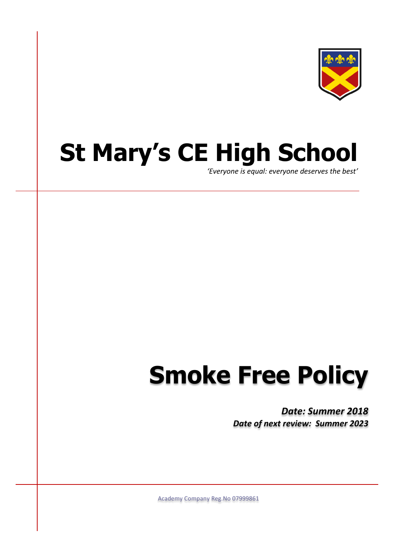

## **St Mary's CE High School**

*'Everyone is equal: everyone deserves the best'*

## **Smoke Free Policy**

*Date: Summer 2018 Date of next review: Summer 2023*

Academy Company Reg.No 07999861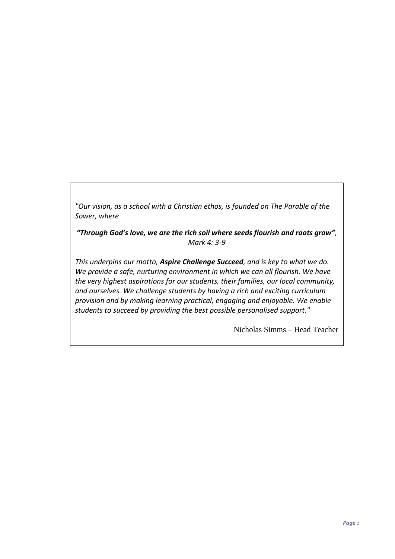*"Our vision, as a school with a Christian ethos, is founded on The Parable of the Sower, where*

*"Through God's love, we are the rich soil where seeds flourish and roots grow", Mark 4: 3-9*

*This underpins our motto, Aspire Challenge Succeed, and is key to what we do. We provide a safe, nurturing environment in which we can all flourish. We have the very highest aspirations for our students, their families, our local community, and ourselves. We challenge students by having a rich and exciting curriculum provision and by making learning practical, engaging and enjoyable. We enable students to succeed by providing the best possible personalised support."*

Nicholas Simms – Head Teacher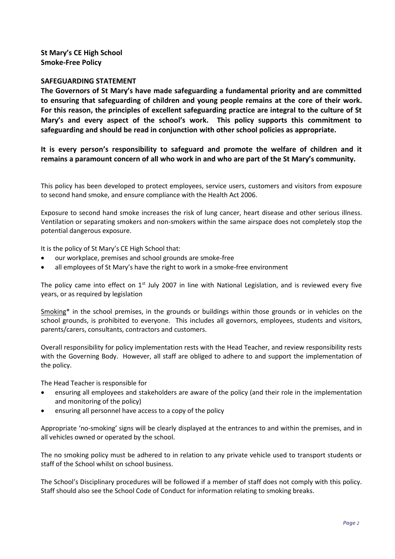**St Mary's CE High School Smoke-Free Policy**

## **SAFEGUARDING STATEMENT**

**The Governors of St Mary's have made safeguarding a fundamental priority and are committed to ensuring that safeguarding of children and young people remains at the core of their work. For this reason, the principles of excellent safeguarding practice are integral to the culture of St Mary's and every aspect of the school's work. This policy supports this commitment to safeguarding and should be read in conjunction with other school policies as appropriate.**

**It is every person's responsibility to safeguard and promote the welfare of children and it remains a paramount concern of all who work in and who are part of the St Mary's community.**

This policy has been developed to protect employees, service users, customers and visitors from exposure to second hand smoke, and ensure compliance with the Health Act 2006.

Exposure to second hand smoke increases the risk of lung cancer, heart disease and other serious illness. Ventilation or separating smokers and non-smokers within the same airspace does not completely stop the potential dangerous exposure.

It is the policy of St Mary's CE High School that:

- our workplace, premises and school grounds are smoke-free
- all employees of St Mary's have the right to work in a smoke-free environment

The policy came into effect on  $1<sup>st</sup>$  July 2007 in line with National Legislation, and is reviewed every five years, or as required by legislation

Smoking\* in the school premises, in the grounds or buildings within those grounds or in vehicles on the school grounds, is prohibited to everyone. This includes all governors, employees, students and visitors, parents/carers, consultants, contractors and customers.

Overall responsibility for policy implementation rests with the Head Teacher, and review responsibility rests with the Governing Body. However, all staff are obliged to adhere to and support the implementation of the policy.

The Head Teacher is responsible for

- ensuring all employees and stakeholders are aware of the policy (and their role in the implementation and monitoring of the policy)
- ensuring all personnel have access to a copy of the policy

Appropriate 'no-smoking' signs will be clearly displayed at the entrances to and within the premises, and in all vehicles owned or operated by the school.

The no smoking policy must be adhered to in relation to any private vehicle used to transport students or staff of the School whilst on school business.

The School's Disciplinary procedures will be followed if a member of staff does not comply with this policy. Staff should also see the School Code of Conduct for information relating to smoking breaks.